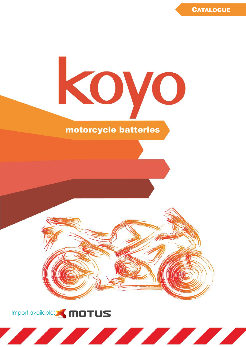

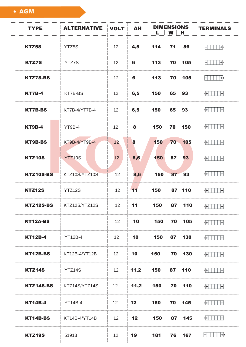• AGM

| <b>TYPE</b>      | <b>ALTERNATIVE</b> | <b>VOLT</b>     | <b>AH</b> | <b>DIMENSIONS</b><br>$L$   W   H | <b>TERMINALS</b>                          |
|------------------|--------------------|-----------------|-----------|----------------------------------|-------------------------------------------|
| <b>KTZ5S</b>     | YTZ5S              | 12              | 4,5       | 114<br>71<br>86                  | ∏+∙<br>$\mathord{\vdash}\mathord{\vdash}$ |
| <b>KTZ7S</b>     | <b>YTZ7S</b>       | 12              | 6         | 113<br>70<br>105                 | ∏+∙<br>$\vdash$                           |
| <b>KTZ7S-BS</b>  |                    | 12              | 6         | 113<br>70<br>105                 | $\vert \ \vert +$<br>$\mathbf{E}$         |
| <b>KT7B-4</b>    | KT7B-BS            | 12              | 6,5       | 150<br>65<br>93                  | $+$ $\Box$ $\vdash$                       |
| <b>KT7B-BS</b>   | KT7B-4/YT7B-4      | 12              | 6,5       | 150<br>65<br>93                  | $+$       $-$                             |
| <b>KT9B-4</b>    | YT9B-4             | 12              | 8         | 150<br>70<br>150                 | $+$ $ $<br>$\vert$ $\vert$ $\vert$        |
| KT9B-BS          | KT9B-4/YT9B-4      | 12              | 8         | 150<br>70 105                    | $+$ $  $ $  $ $-$                         |
| <b>KTZ10S</b>    | <b>YTZ10S</b>      | 12              | 8,6       | 150<br>87<br>93                  | $+$ $\Box$ $\vdash$                       |
| <b>KTZ10S-BS</b> | KTZ10S/YTZ10S      | 12              | 8,6       | 150<br>87 93                     | $+$       $-$                             |
| <b>KTZ12S</b>    | YTZ12S             | 12              | 11        | 150<br>87 110                    | $+$<br>$\vert - \vert$                    |
| KTZ12S-BS        | KTZ12S/YTZ12S      | 12              | 11        | 150<br>87 110                    | $+$ $  $ $ $ $-$                          |
| KT12A-BS         |                    | 12 <sup>2</sup> | 10        | 150 70 105                       | $+$ $  $ $  $ $-$                         |
| <b>KT12B-4</b>   | <b>YT12B-4</b>     | 12 <sup>2</sup> | 10        | 150<br>130<br>87                 | $+$ $\Box$ $\vdash$                       |
| KT12B-BS         | KT12B-4/YT12B      | 12 <sup>°</sup> | 10        | 150 70 130                       | $+$ 111 $-$                               |
| KTZ14S           | YTZ14S             | 12 <sup>2</sup> | 11,2      | 150<br>87 110                    | $+$ 11 $-$                                |
| KTZ14S-BS        | KTZ14S/YTZ14S      | 12              | 11,2      | 150 70 110                       | $+$ $  $ $  $ $-$                         |
| <b>KT14B-4</b>   | YT14B-4            | 12              | 12        | 150<br>70 145                    | $+$ 11 $-$                                |
| KT14B-BS         | KT14B-4/YT14B      | 12              | 12        | 150 87 145                       | $+$ 11 $-$                                |
| <b>KTZ19S</b>    | 51913              | 12              | 19        | 76<br>181<br>167                 | $\Box$ $\Box$ $\Box$                      |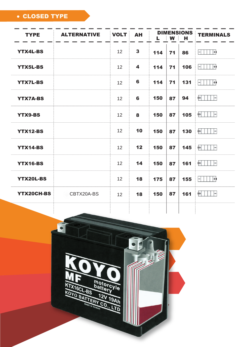# CLOSED TYPE

| <b>TYPE</b>      | <b>ALTERNATIVE</b> | <b>VOLT</b> | <b>AH</b>    |     | $L \mid W \mid H$ | <b>DIMENSIONS</b> | <b>TERMINALS</b>                                                                                  |
|------------------|--------------------|-------------|--------------|-----|-------------------|-------------------|---------------------------------------------------------------------------------------------------|
| <b>YTX4L-BS</b>  |                    | 12          | $\mathbf{3}$ | 114 | 71                | 86                | $\vert \ \vert$ +)<br>$\left  - \right $                                                          |
| <b>YTX5L-BS</b>  |                    | 12          | 4            | 114 | 71                | 106               | +)<br>$-1$                                                                                        |
| <b>YTX7L-BS</b>  |                    | 12          | 6            | 114 | 71                | 131               | $ +\rangle$<br>$\left  - \right $                                                                 |
| <b>YTX7A-BS</b>  |                    | 12          | 6            | 150 | 87                | 94                | $\begin{array}{c c c c c c} \hline \textbf{+} & \textbf{+} & \textbf{+} & \textbf{-} \end{array}$ |
| <b>YTX9-BS</b>   |                    | 12          | 8            | 150 | 87                | 105               | $+$ $  $ $  $ $+$                                                                                 |
| <b>YTX12-BS</b>  |                    | 12          | 10           | 150 | 87                | 130               | $+$ $  $ $  $ $-$                                                                                 |
| <b>YTX14-BS</b>  |                    | 12          | 12           | 150 | 87                | 145               | $+$ $\vert \ \vert$<br>$\left  - \right $                                                         |
| <b>YTX16-BS</b>  |                    | 12          | 14           | 150 | 87                | 161               | $+$ $  $ $  $ $+$                                                                                 |
| <b>YTX20L-BS</b> |                    | 12          | 18           | 175 | 87                | 155               | ∣  +)<br>$\Box$                                                                                   |
| YTX20CH-BS       | CBTX20A-BS         | 12          | 18           | 150 | 87                | 161               | $+$ $\vert \ \vert$<br>$\vert$ -                                                                  |
|                  |                    |             |              |     |                   |                   |                                                                                                   |

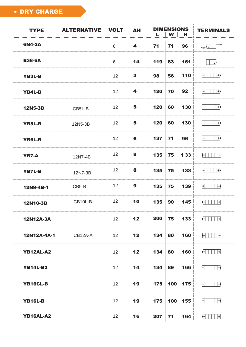DRY CHARGE

| <b>TYPE</b>        | <b>ALTERNATIVE</b> | <b>VOLT</b>     | <b>AH</b>    | <b>DIMENSIONS</b><br><u>L   W   H</u> |     |       | <b>TERMINALS</b>                                                                                                                                                                                                                                                                                                                                                                                         |
|--------------------|--------------------|-----------------|--------------|---------------------------------------|-----|-------|----------------------------------------------------------------------------------------------------------------------------------------------------------------------------------------------------------------------------------------------------------------------------------------------------------------------------------------------------------------------------------------------------------|
| 6N4-2A             |                    | 6               | 4            | 71                                    | 71  | 96    | $\begin{array}{c c c c c c} \hline \multicolumn{3}{c }{\textbf{0.0000}} & \multicolumn{3}{c }{\textbf{0.0000}} & \multicolumn{3}{c }{\textbf{0.0000}} & \multicolumn{3}{c }{\textbf{0.0000}} & \multicolumn{3}{c }{\textbf{0.0000}} & \multicolumn{3}{c }{\textbf{0.0000}} & \multicolumn{3}{c }{\textbf{0.0000}} & \multicolumn{3}{c }{\textbf{0.0000}} & \multicolumn{3}{c }{\textbf{0.0000}} & \mult$ |
| <b>B38-6A</b>      |                    | 6               | 14           | 119                                   | 83  | 161   | $\frac{1}{2}$                                                                                                                                                                                                                                                                                                                                                                                            |
| <b>YB3L-B</b>      |                    | 12              | $\mathbf{3}$ | 98                                    | 56  | 110   | $   $ $  $ $  $ $  $                                                                                                                                                                                                                                                                                                                                                                                     |
| <b>YB4L-B</b>      |                    | 12              | 4            | 120                                   | 70  | 92    | $\Box$<br>$\left  - \right $                                                                                                                                                                                                                                                                                                                                                                             |
| <b>12N5-3B</b>     | CB5L-B             | 12              | 5            | 120                                   | 60  | 130   | $ +\rangle$<br>$\rightarrow$                                                                                                                                                                                                                                                                                                                                                                             |
| YB5L-B             | 12N5-3B            | 12              | 5            | 120                                   | 60  | 130   | $ +\rangle$                                                                                                                                                                                                                                                                                                                                                                                              |
| YB6L-B             |                    | 12              | 6            | 137                                   | 71  | 96    | $\Box$<br>$\left  - \right $                                                                                                                                                                                                                                                                                                                                                                             |
| YB7-A              | 12N7-4B            | 12              | 8            | 135                                   | 75  | 1 3 3 | $+$ $\Box$ $\vdash$                                                                                                                                                                                                                                                                                                                                                                                      |
| <b>YB7L-B</b>      | 12N7-3B            | 12              | 8            | 135                                   | 75  | 133   | $ +\rangle$<br>$\vdash$                                                                                                                                                                                                                                                                                                                                                                                  |
| 12N9-4B-1          | CB9-B              | 12              | 9            | 135                                   | 75  | 139   | $+$<br>$\vdash$                                                                                                                                                                                                                                                                                                                                                                                          |
| 12N10-3B           | CB10L-B            | 12              | 10           | 135                                   | 90  | 145   | $\begin{array}{c c c c c c} \hline \textbf{--} & \textbf{--} & \textbf{--} \\\hline \end{array}$                                                                                                                                                                                                                                                                                                         |
| <b>12N12A-3A</b>   |                    | 12 <sup>°</sup> | 12           | 200                                   | 75  | 133   | $ +$                                                                                                                                                                                                                                                                                                                                                                                                     |
| <b>12N12A-4A-1</b> | CB12A-A            | 12              | 12           | 134                                   | 80  | 160   | $+$ 11 $-$                                                                                                                                                                                                                                                                                                                                                                                               |
| YB12AL-A2          |                    | 12 <sup>2</sup> | 12           | 134                                   | 80  | 160   | $ \left  \ \right $ $\ \ \left  + \right $                                                                                                                                                                                                                                                                                                                                                               |
| <b>YB14L-B2</b>    |                    | 12 <sup>2</sup> | 14           | 134                                   | 89  | 166   | $ +\rangle$<br>$\left  - \right $                                                                                                                                                                                                                                                                                                                                                                        |
| YB16CL-B           |                    | 12              | 19           | 175                                   | 100 | 175   | $ +\rangle$                                                                                                                                                                                                                                                                                                                                                                                              |
| <b>YB16L-B</b>     |                    | 12 <sup>2</sup> | 19           | 175                                   | 100 | 155   | $ +\rangle$                                                                                                                                                                                                                                                                                                                                                                                              |
| <b>YB16AL-A2</b>   |                    | 12 <sup>2</sup> | 16           | 207                                   | 71  | 164   | $ \left  \ \right $ $\ \ \left  + \right $                                                                                                                                                                                                                                                                                                                                                               |